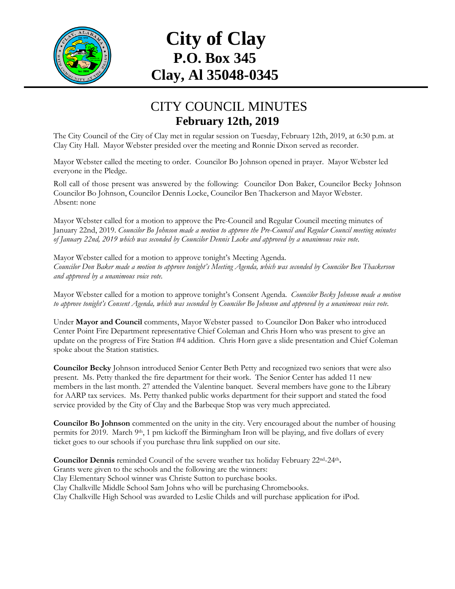

# **City of Clay P.O. Box 345 Clay, Al 35048-0345**

### CITY COUNCIL MINUTES **February 12th, 2019**

The City Council of the City of Clay met in regular session on Tuesday, February 12th, 2019, at 6:30 p.m. at Clay City Hall. Mayor Webster presided over the meeting and Ronnie Dixon served as recorder.

Mayor Webster called the meeting to order. Councilor Bo Johnson opened in prayer. Mayor Webster led everyone in the Pledge.

Roll call of those present was answered by the following: Councilor Don Baker, Councilor Becky Johnson Councilor Bo Johnson, Councilor Dennis Locke, Councilor Ben Thackerson and Mayor Webster. Absent: none

Mayor Webster called for a motion to approve the Pre-Council and Regular Council meeting minutes of January 22nd, 2019. *Councilor Bo Johnson made a motion to approve the Pre-Council and Regular Council meeting minutes of January 22nd, 2019 which was seconded by Councilor Dennis Locke and approved by a unanimous voice vote.*

Mayor Webster called for a motion to approve tonight's Meeting Agenda. *Councilor Don Baker made a motion to approve tonight's Meeting Agenda, which was seconded by Councilor Ben Thackerson and approved by a unanimous voice vote.*

Mayor Webster called for a motion to approve tonight's Consent Agenda. *Councilor Becky Johnson made a motion to approve tonight's Consent Agenda, which was seconded by Councilor Bo Johnson and approved by a unanimous voice vote.*

Under **Mayor and Council** comments, Mayor Webster passed to Councilor Don Baker who introduced Center Point Fire Department representative Chief Coleman and Chris Horn who was present to give an update on the progress of Fire Station #4 addition. Chris Horn gave a slide presentation and Chief Coleman spoke about the Station statistics.

**Councilor Becky** Johnson introduced Senior Center Beth Petty and recognized two seniors that were also present. Ms. Petty thanked the fire department for their work. The Senior Center has added 11 new members in the last month. 27 attended the Valentine banquet. Several members have gone to the Library for AARP tax services. Ms. Petty thanked public works department for their support and stated the food service provided by the City of Clay and the Barbeque Stop was very much appreciated.

**Councilor Bo Johnson** commented on the unity in the city. Very encouraged about the number of housing permits for 2019. March 9th, 1 pm kickoff the Birmingham Iron will be playing, and five dollars of every ticket goes to our schools if you purchase thru link supplied on our site.

**Councilor Dennis** reminded Council of the severe weather tax holiday February 22nd-24th**.** Grants were given to the schools and the following are the winners: Clay Elementary School winner was Christe Sutton to purchase books. Clay Chalkville Middle School Sam Johns who will be purchasing Chromebooks. Clay Chalkville High School was awarded to Leslie Childs and will purchase application for iPod.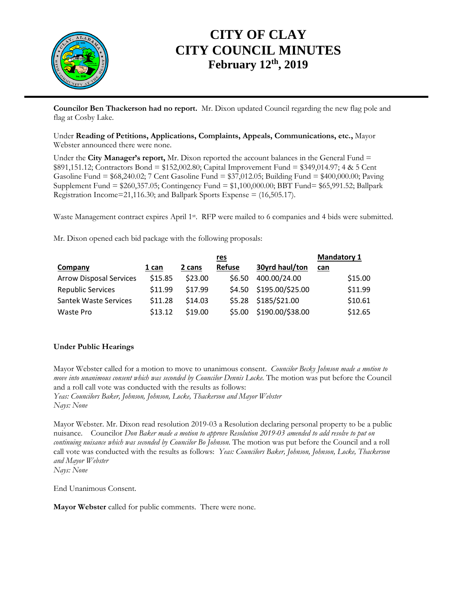

### **CITY OF CLAY CITY COUNCIL MINUTES February 12th , 2019**

**Councilor Ben Thackerson had no report.** Mr. Dixon updated Council regarding the new flag pole and flag at Cosby Lake.

#### Under **Reading of Petitions, Applications, Complaints, Appeals, Communications, etc.,** Mayor Webster announced there were none.

Under the **City Manager's report,** Mr. Dixon reported the account balances in the General Fund = \$891,151.12; Contractors Bond = \$152,002.80; Capital Improvement Fund = \$349,014.97; 4 & 5 Cent Gasoline Fund = \$68,240.02; 7 Cent Gasoline Fund = \$37,012.05; Building Fund = \$400,000.00; Paving Supplement Fund = \$260,357.05; Contingency Fund = \$1,100,000.00; BBT Fund= \$65,991.52; Ballpark Registration Income=21,116.30; and Ballpark Sports Expense = (16,505.17).

Waste Management contract expires April 1st. RFP were mailed to 6 companies and 4 bids were submitted.

Mr. Dixon opened each bid package with the following proposals:

|                                |         |         | res           |                         | <b>Mandatory 1</b> |
|--------------------------------|---------|---------|---------------|-------------------------|--------------------|
| Company                        | 1 can   | 2 cans  | <b>Refuse</b> | 30yrd haul/ton          | can                |
| <b>Arrow Disposal Services</b> | \$15.85 | \$23.00 | \$6.50        | 400.00/24.00            | \$15.00            |
| <b>Republic Services</b>       | \$11.99 | \$17.99 |               | \$4.50 \$195.00/\$25.00 | \$11.99            |
| <b>Santek Waste Services</b>   | \$11.28 | \$14.03 | \$5.28        | \$185/\$21.00           | \$10.61            |
| Waste Pro                      | \$13.12 | \$19.00 | \$5.00        | \$190.00/\$38.00        | \$12.65            |

### **Under Public Hearings**

Mayor Webster called for a motion to move to unanimous consent. *Councilor Becky Johnson made a motion to move into unanimous consent which was seconded by Councilor Dennis Locke.* The motion was put before the Council and a roll call vote was conducted with the results as follows:

*Yeas: Councilors Baker, Johnson, Johnson, Locke, Thackerson and Mayor Webster Nays: None*

Mayor Webster. Mr. Dixon read resolution 2019-03 a Resolution declaring personal property to be a public nuisance. Councilor *Don Baker made a motion to approve Resolution 2019-03 amended to add resolve to put on continuing nuisance which was seconded by Councilor Bo Johnson.* The motion was put before the Council and a roll call vote was conducted with the results as follows: *Yeas: Councilors Baker, Johnson, Johnson, Locke, Thackerson and Mayor Webster Nays: None*

End Unanimous Consent.

**Mayor Webster** called for public comments. There were none.